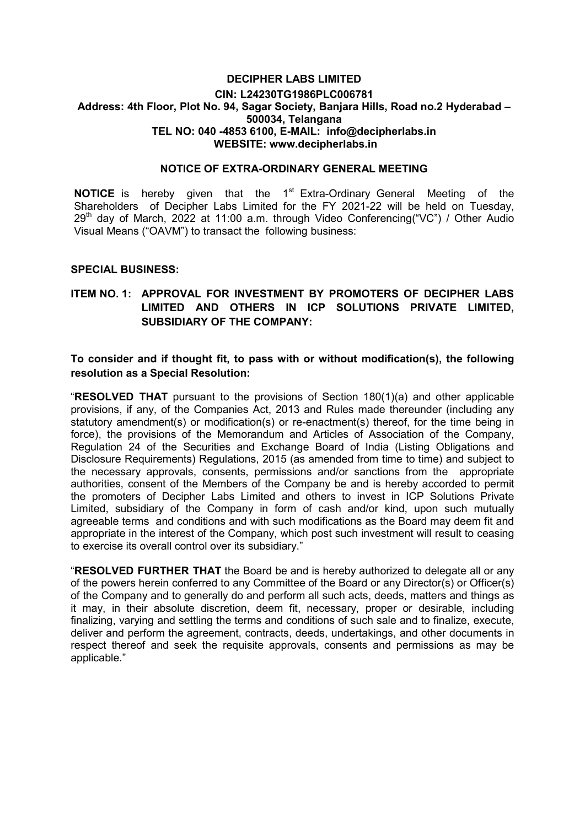#### DECIPHER LABS LIMITED CIN: L24230TG1986PLC006781 Address: 4th Floor, Plot No. 94, Sagar Society, Banjara Hills, Road no.2 Hyderabad – 500034, Telangana TEL NO: 040 -4853 6100, E-MAIL: info@decipherlabs.in WEBSITE: www.decipherlabs.in

#### NOTICE OF EXTRA-ORDINARY GENERAL MEETING

**NOTICE** is hereby given that the  $1<sup>st</sup>$  Extra-Ordinary General Meeting of the Shareholders of Decipher Labs Limited for the FY 2021-22 will be held on Tuesday,  $29<sup>th</sup>$  day of March, 2022 at 11:00 a.m. through Video Conferencing("VC") / Other Audio Visual Means ("OAVM") to transact the following business:

#### SPECIAL BUSINESS:

## ITEM NO. 1: APPROVAL FOR INVESTMENT BY PROMOTERS OF DECIPHER LABS LIMITED AND OTHERS IN ICP SOLUTIONS PRIVATE LIMITED, SUBSIDIARY OF THE COMPANY:

### To consider and if thought fit, to pass with or without modification(s), the following resolution as a Special Resolution:

"RESOLVED THAT pursuant to the provisions of Section 180(1)(a) and other applicable provisions, if any, of the Companies Act, 2013 and Rules made thereunder (including any statutory amendment(s) or modification(s) or re-enactment(s) thereof, for the time being in force), the provisions of the Memorandum and Articles of Association of the Company, Regulation 24 of the Securities and Exchange Board of India (Listing Obligations and Disclosure Requirements) Regulations, 2015 (as amended from time to time) and subject to the necessary approvals, consents, permissions and/or sanctions from the appropriate authorities, consent of the Members of the Company be and is hereby accorded to permit the promoters of Decipher Labs Limited and others to invest in ICP Solutions Private Limited, subsidiary of the Company in form of cash and/or kind, upon such mutually agreeable terms and conditions and with such modifications as the Board may deem fit and appropriate in the interest of the Company, which post such investment will result to ceasing to exercise its overall control over its subsidiary."

"RESOLVED FURTHER THAT the Board be and is hereby authorized to delegate all or any of the powers herein conferred to any Committee of the Board or any Director(s) or Officer(s) of the Company and to generally do and perform all such acts, deeds, matters and things as it may, in their absolute discretion, deem fit, necessary, proper or desirable, including finalizing, varying and settling the terms and conditions of such sale and to finalize, execute, deliver and perform the agreement, contracts, deeds, undertakings, and other documents in respect thereof and seek the requisite approvals, consents and permissions as may be applicable."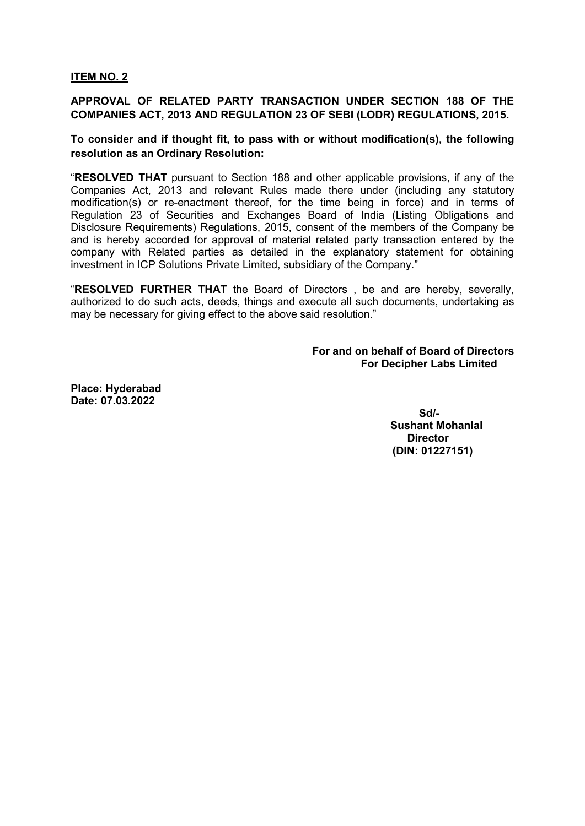### ITEM NO. 2

# APPROVAL OF RELATED PARTY TRANSACTION UNDER SECTION 188 OF THE COMPANIES ACT, 2013 AND REGULATION 23 OF SEBI (LODR) REGULATIONS, 2015.

## To consider and if thought fit, to pass with or without modification(s), the following resolution as an Ordinary Resolution:

"RESOLVED THAT pursuant to Section 188 and other applicable provisions, if any of the Companies Act, 2013 and relevant Rules made there under (including any statutory modification(s) or re-enactment thereof, for the time being in force) and in terms of Regulation 23 of Securities and Exchanges Board of India (Listing Obligations and Disclosure Requirements) Regulations, 2015, consent of the members of the Company be and is hereby accorded for approval of material related party transaction entered by the company with Related parties as detailed in the explanatory statement for obtaining investment in ICP Solutions Private Limited, subsidiary of the Company."

"RESOLVED FURTHER THAT the Board of Directors , be and are hereby, severally, authorized to do such acts, deeds, things and execute all such documents, undertaking as may be necessary for giving effect to the above said resolution."

> For and on behalf of Board of Directors For Decipher Labs Limited

Place: Hyderabad Date: 07.03.2022

 Sd/- Sushant Mohanlal **Director** (DIN: 01227151)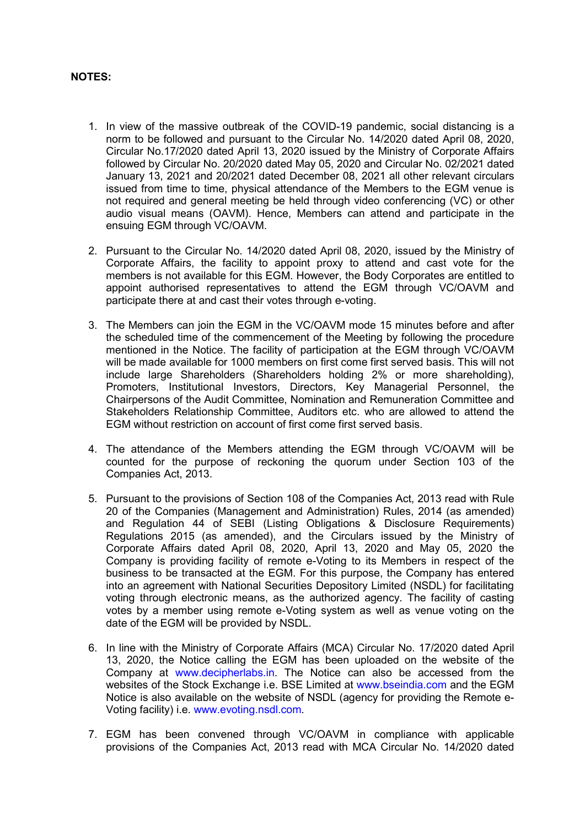### NOTES:

- 1. In view of the massive outbreak of the COVID-19 pandemic, social distancing is a norm to be followed and pursuant to the Circular No. 14/2020 dated April 08, 2020, Circular No.17/2020 dated April 13, 2020 issued by the Ministry of Corporate Affairs followed by Circular No. 20/2020 dated May 05, 2020 and Circular No. 02/2021 dated January 13, 2021 and 20/2021 dated December 08, 2021 all other relevant circulars issued from time to time, physical attendance of the Members to the EGM venue is not required and general meeting be held through video conferencing (VC) or other audio visual means (OAVM). Hence, Members can attend and participate in the ensuing EGM through VC/OAVM.
- 2. Pursuant to the Circular No. 14/2020 dated April 08, 2020, issued by the Ministry of Corporate Affairs, the facility to appoint proxy to attend and cast vote for the members is not available for this EGM. However, the Body Corporates are entitled to appoint authorised representatives to attend the EGM through VC/OAVM and participate there at and cast their votes through e-voting.
- 3. The Members can join the EGM in the VC/OAVM mode 15 minutes before and after the scheduled time of the commencement of the Meeting by following the procedure mentioned in the Notice. The facility of participation at the EGM through VC/OAVM will be made available for 1000 members on first come first served basis. This will not include large Shareholders (Shareholders holding 2% or more shareholding), Promoters, Institutional Investors, Directors, Key Managerial Personnel, the Chairpersons of the Audit Committee, Nomination and Remuneration Committee and Stakeholders Relationship Committee, Auditors etc. who are allowed to attend the EGM without restriction on account of first come first served basis.
- 4. The attendance of the Members attending the EGM through VC/OAVM will be counted for the purpose of reckoning the quorum under Section 103 of the Companies Act, 2013.
- 5. Pursuant to the provisions of Section 108 of the Companies Act, 2013 read with Rule 20 of the Companies (Management and Administration) Rules, 2014 (as amended) and Regulation 44 of SEBI (Listing Obligations & Disclosure Requirements) Regulations 2015 (as amended), and the Circulars issued by the Ministry of Corporate Affairs dated April 08, 2020, April 13, 2020 and May 05, 2020 the Company is providing facility of remote e-Voting to its Members in respect of the business to be transacted at the EGM. For this purpose, the Company has entered into an agreement with National Securities Depository Limited (NSDL) for facilitating voting through electronic means, as the authorized agency. The facility of casting votes by a member using remote e-Voting system as well as venue voting on the date of the EGM will be provided by NSDL.
- 6. In line with the Ministry of Corporate Affairs (MCA) Circular No. 17/2020 dated April 13, 2020, the Notice calling the EGM has been uploaded on the website of the Company at www.decipherlabs.in. The Notice can also be accessed from the websites of the Stock Exchange i.e. BSE Limited at www.bseindia.com and the EGM Notice is also available on the website of NSDL (agency for providing the Remote e-Voting facility) i.e. www.evoting.nsdl.com.
- 7. EGM has been convened through VC/OAVM in compliance with applicable provisions of the Companies Act, 2013 read with MCA Circular No. 14/2020 dated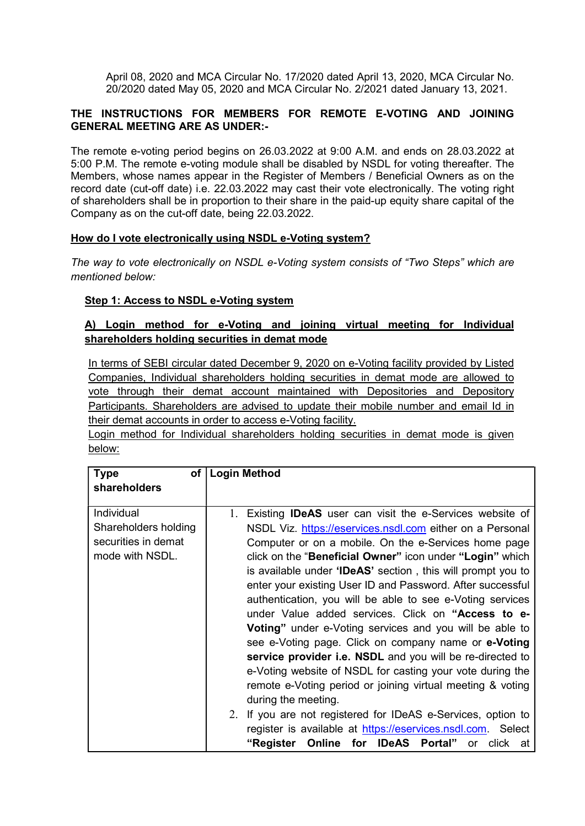April 08, 2020 and MCA Circular No. 17/2020 dated April 13, 2020, MCA Circular No. 20/2020 dated May 05, 2020 and MCA Circular No. 2/2021 dated January 13, 2021.

### THE INSTRUCTIONS FOR MEMBERS FOR REMOTE E-VOTING AND JOINING GENERAL MEETING ARE AS UNDER:-

The remote e-voting period begins on 26.03.2022 at 9:00 A.M. and ends on 28.03.2022 at 5:00 P.M. The remote e-voting module shall be disabled by NSDL for voting thereafter. The Members, whose names appear in the Register of Members / Beneficial Owners as on the record date (cut-off date) i.e. 22.03.2022 may cast their vote electronically. The voting right of shareholders shall be in proportion to their share in the paid-up equity share capital of the Company as on the cut-off date, being 22.03.2022.

## How do I vote electronically using NSDL e-Voting system?

The way to vote electronically on NSDL e-Voting system consists of "Two Steps" which are mentioned below:

## Step 1: Access to NSDL e-Voting system

## A) Login method for e-Voting and joining virtual meeting for Individual shareholders holding securities in demat mode

In terms of SEBI circular dated December 9, 2020 on e-Voting facility provided by Listed Companies, Individual shareholders holding securities in demat mode are allowed to vote through their demat account maintained with Depositories and Depository Participants. Shareholders are advised to update their mobile number and email Id in their demat accounts in order to access e-Voting facility.

Login method for Individual shareholders holding securities in demat mode is given below:

| <b>Type</b><br>οf    | <b>Login Method</b>                                                  |
|----------------------|----------------------------------------------------------------------|
| shareholders         |                                                                      |
|                      |                                                                      |
| Individual           | 1.<br>Existing <b>IDeAS</b> user can visit the e-Services website of |
| Shareholders holding | NSDL Viz. https://eservices.nsdl.com either on a Personal            |
| securities in demat  | Computer or on a mobile. On the e-Services home page                 |
| mode with NSDL.      | click on the "Beneficial Owner" icon under "Login" which             |
|                      | is available under 'IDeAS' section, this will prompt you to          |
|                      | enter your existing User ID and Password. After successful           |
|                      | authentication, you will be able to see e-Voting services            |
|                      | under Value added services. Click on "Access to e-                   |
|                      | <b>Voting</b> " under e-Voting services and you will be able to      |
|                      | see e-Voting page. Click on company name or e-Voting                 |
|                      | service provider i.e. NSDL and you will be re-directed to            |
|                      | e-Voting website of NSDL for casting your vote during the            |
|                      | remote e-Voting period or joining virtual meeting & voting           |
|                      | during the meeting.                                                  |
|                      | 2. If you are not registered for IDeAS e-Services, option to         |
|                      | register is available at https://eservices.nsdl.com. Select          |
|                      | "Register Online for IDeAS Portal"<br>or click at                    |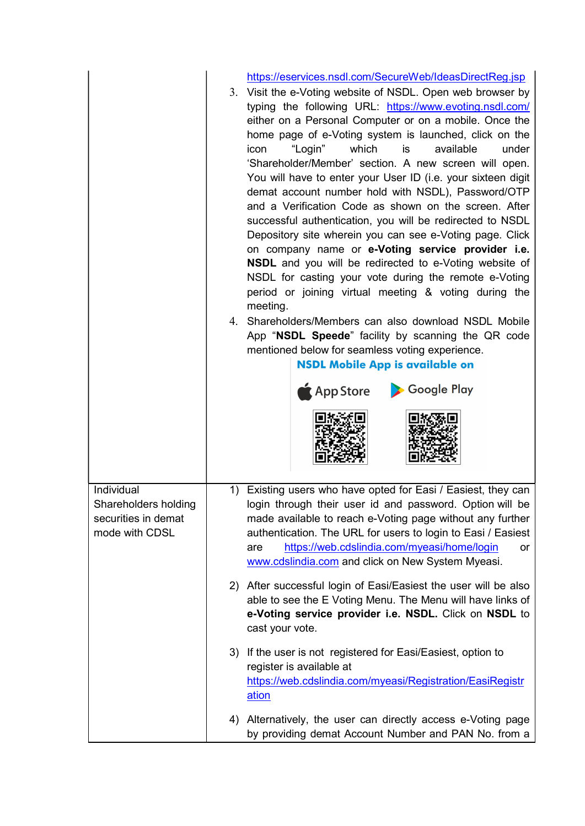|                                                                             |    | https://eservices.nsdl.com/SecureWeb/IdeasDirectReg.jsp<br>3. Visit the e-Voting website of NSDL. Open web browser by<br>typing the following URL: https://www.evoting.nsdl.com/<br>either on a Personal Computer or on a mobile. Once the<br>home page of e-Voting system is launched, click on the<br>which<br>available<br>under<br>"Login"<br>is<br>icon<br>'Shareholder/Member' section. A new screen will open.<br>You will have to enter your User ID (i.e. your sixteen digit<br>demat account number hold with NSDL), Password/OTP<br>and a Verification Code as shown on the screen. After<br>successful authentication, you will be redirected to NSDL<br>Depository site wherein you can see e-Voting page. Click<br>on company name or e-Voting service provider i.e.<br><b>NSDL</b> and you will be redirected to e-Voting website of<br>NSDL for casting your vote during the remote e-Voting<br>period or joining virtual meeting & voting during the<br>meeting.<br>4. Shareholders/Members can also download NSDL Mobile<br>App "NSDL Speede" facility by scanning the QR code<br>mentioned below for seamless voting experience.<br><b>NSDL Mobile App is available on</b><br>App Store > Google Play |  |
|-----------------------------------------------------------------------------|----|--------------------------------------------------------------------------------------------------------------------------------------------------------------------------------------------------------------------------------------------------------------------------------------------------------------------------------------------------------------------------------------------------------------------------------------------------------------------------------------------------------------------------------------------------------------------------------------------------------------------------------------------------------------------------------------------------------------------------------------------------------------------------------------------------------------------------------------------------------------------------------------------------------------------------------------------------------------------------------------------------------------------------------------------------------------------------------------------------------------------------------------------------------------------------------------------------------------------------|--|
| Individual<br>Shareholders holding<br>securities in demat<br>mode with CDSL | 1) | Existing users who have opted for Easi / Easiest, they can<br>login through their user id and password. Option will be<br>made available to reach e-Voting page without any further<br>authentication. The URL for users to login to Easi / Easiest<br>https://web.cdslindia.com/myeasi/home/login<br>are<br>or<br>www.cdslindia.com and click on New System Myeasi.<br>2) After successful login of Easi/Easiest the user will be also<br>able to see the E Voting Menu. The Menu will have links of<br>e-Voting service provider i.e. NSDL. Click on NSDL to<br>cast your vote.                                                                                                                                                                                                                                                                                                                                                                                                                                                                                                                                                                                                                                        |  |
|                                                                             |    |                                                                                                                                                                                                                                                                                                                                                                                                                                                                                                                                                                                                                                                                                                                                                                                                                                                                                                                                                                                                                                                                                                                                                                                                                          |  |
|                                                                             | 3) | If the user is not registered for Easi/Easiest, option to<br>register is available at<br>https://web.cdslindia.com/myeasi/Registration/EasiRegistr<br>ation                                                                                                                                                                                                                                                                                                                                                                                                                                                                                                                                                                                                                                                                                                                                                                                                                                                                                                                                                                                                                                                              |  |
|                                                                             |    | 4) Alternatively, the user can directly access e-Voting page<br>by providing demat Account Number and PAN No. from a                                                                                                                                                                                                                                                                                                                                                                                                                                                                                                                                                                                                                                                                                                                                                                                                                                                                                                                                                                                                                                                                                                     |  |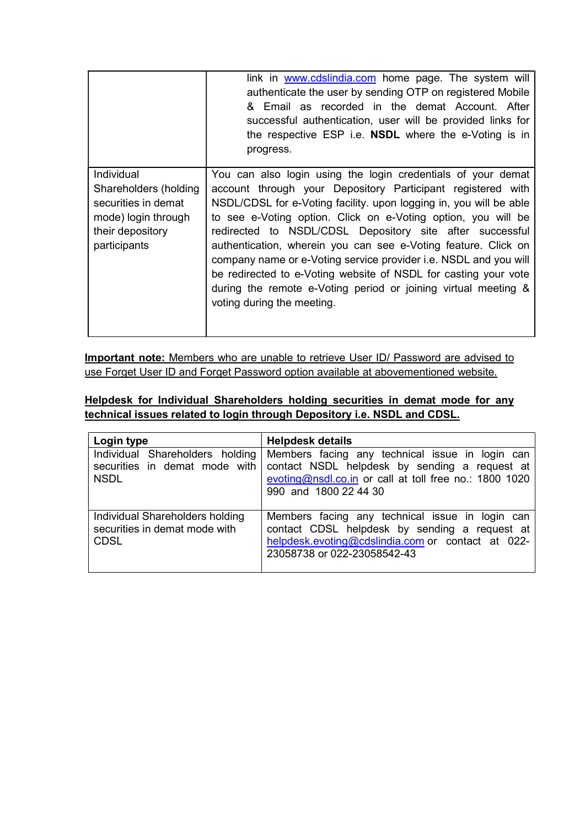|                                                                                                                              | link in www.cdslindia.com home page. The system will<br>authenticate the user by sending OTP on registered Mobile<br>& Email as recorded in the demat Account. After<br>successful authentication, user will be provided links for<br>the respective ESP i.e. <b>NSDL</b> where the e-Voting is in<br>progress.                                                                                                                                                                                                                                                                                                                         |
|------------------------------------------------------------------------------------------------------------------------------|-----------------------------------------------------------------------------------------------------------------------------------------------------------------------------------------------------------------------------------------------------------------------------------------------------------------------------------------------------------------------------------------------------------------------------------------------------------------------------------------------------------------------------------------------------------------------------------------------------------------------------------------|
| <b>Individual</b><br>Shareholders (holding<br>securities in demat<br>mode) login through<br>their depository<br>participants | You can also login using the login credentials of your demat<br>account through your Depository Participant registered with<br>NSDL/CDSL for e-Voting facility, upon logging in, you will be able<br>to see e-Voting option. Click on e-Voting option, you will be<br>redirected to NSDL/CDSL Depository site after successful<br>authentication, wherein you can see e-Voting feature. Click on<br>company name or e-Voting service provider i.e. NSDL and you will<br>be redirected to e-Voting website of NSDL for casting your vote<br>during the remote e-Voting period or joining virtual meeting &<br>voting during the meeting. |

Important note: Members who are unable to retrieve User ID/ Password are advised to use Forget User ID and Forget Password option available at abovementioned website.

Helpdesk for Individual Shareholders holding securities in demat mode for any technical issues related to login through Depository i.e. NSDL and CDSL.

| Login type                                                                      | <b>Helpdesk details</b>                                                                                                                                                              |  |  |
|---------------------------------------------------------------------------------|--------------------------------------------------------------------------------------------------------------------------------------------------------------------------------------|--|--|
| Individual Shareholders holding<br>securities in demat mode with<br><b>NSDL</b> | Members facing any technical issue in login can<br>contact NSDL helpdesk by sending a request at<br>evoting@nsdl.co.in or call at toll free no.: 1800 1020<br>990 and 1800 22 44 30  |  |  |
| Individual Shareholders holding<br>securities in demat mode with<br><b>CDSL</b> | Members facing any technical issue in login can<br>contact CDSL helpdesk by sending a request at<br>helpdesk.evoting@cdslindia.com or contact at 022-<br>23058738 or 022-23058542-43 |  |  |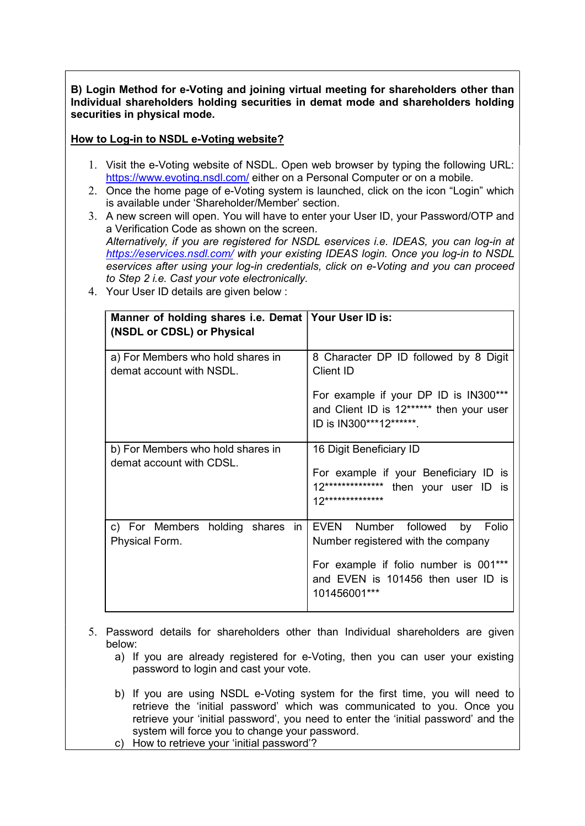B) Login Method for e-Voting and joining virtual meeting for shareholders other than Individual shareholders holding securities in demat mode and shareholders holding securities in physical mode.

## How to Log-in to NSDL e-Voting website?

- 1. Visit the e-Voting website of NSDL. Open web browser by typing the following URL: https://www.evoting.nsdl.com/ either on a Personal Computer or on a mobile.
- 2. Once the home page of e-Voting system is launched, click on the icon "Login" which is available under 'Shareholder/Member' section.
- 3. A new screen will open. You will have to enter your User ID, your Password/OTP and a Verification Code as shown on the screen. Alternatively, if you are registered for NSDL eservices i.e. IDEAS, you can log-in at https://eservices.nsdl.com/ with your existing IDEAS login. Once you log-in to NSDL eservices after using your log-in credentials, click on e-Voting and you can proceed to Step 2 i.e. Cast your vote electronically.
	- Manner of holding shares i.e. Demat Your User ID is: (NSDL or CDSL) or Physical a) For Members who hold shares in demat account with NSDL. 8 Character DP ID followed by 8 Digit Client ID For example if your DP ID is IN300\*\*\* and Client ID is 12\*\*\*\*\*\* then your user ID is IN300\*\*\*12\*\*\*\*\*\*. b) For Members who hold shares in demat account with CDSL. 16 Digit Beneficiary ID For example if your Beneficiary ID is 12\*\*\*\*\*\*\*\*\*\*\*\*\*\* then your user ID is 12\*\*\*\*\*\*\*\*\*\*\*\*\*\* c) For Members holding shares in Physical Form. EVEN Number followed by Folio Number registered with the company For example if folio number is 001\*\*\* and EVEN is 101456 then user ID is 101456001\*\*\*
- 4. Your User ID details are given below :

- 5. Password details for shareholders other than Individual shareholders are given below:
	- a) If you are already registered for e-Voting, then you can user your existing password to login and cast your vote.
	- b) If you are using NSDL e-Voting system for the first time, you will need to retrieve the 'initial password' which was communicated to you. Once you retrieve your 'initial password', you need to enter the 'initial password' and the system will force you to change your password.
	- c) How to retrieve your 'initial password'?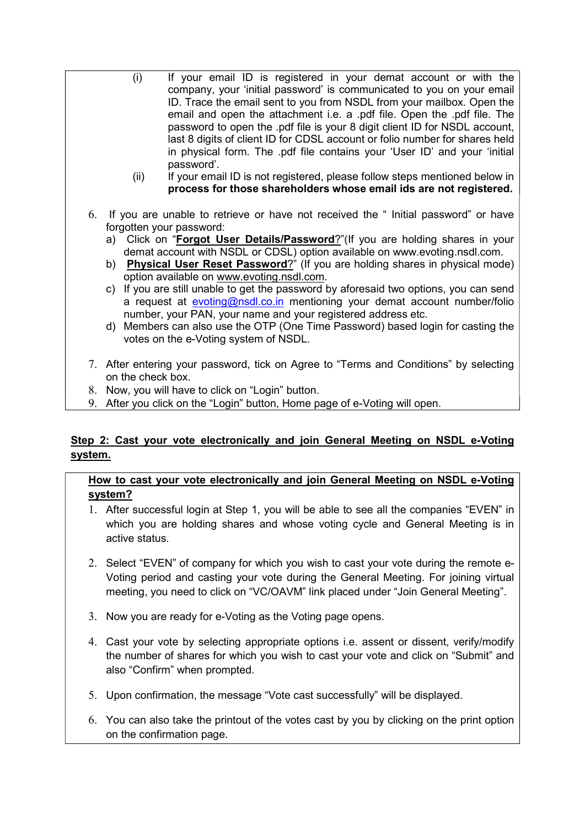- (i) If your email ID is registered in your demat account or with the company, your 'initial password' is communicated to you on your email ID. Trace the email sent to you from NSDL from your mailbox. Open the email and open the attachment i.e. a .pdf file. Open the .pdf file. The password to open the .pdf file is your 8 digit client ID for NSDL account, last 8 digits of client ID for CDSL account or folio number for shares held in physical form. The .pdf file contains your 'User ID' and your 'initial password'.
	- (ii) If your email ID is not registered, please follow steps mentioned below in process for those shareholders whose email ids are not registered.
- 6. If you are unable to retrieve or have not received the " Initial password" or have forgotten your password:
	- a) Click on "Forgot User Details/Password?"(If you are holding shares in your demat account with NSDL or CDSL) option available on www.evoting.nsdl.com.
	- b) Physical User Reset Password?" (If you are holding shares in physical mode) option available on www.evoting.nsdl.com.
	- c) If you are still unable to get the password by aforesaid two options, you can send a request at evoting@nsdl.co.in mentioning your demat account number/folio number, your PAN, your name and your registered address etc.
	- d) Members can also use the OTP (One Time Password) based login for casting the votes on the e-Voting system of NSDL.
- 7. After entering your password, tick on Agree to "Terms and Conditions" by selecting on the check box.
- 8. Now, you will have to click on "Login" button.
- 9. After you click on the "Login" button, Home page of e-Voting will open.

# Step 2: Cast your vote electronically and join General Meeting on NSDL e-Voting system.

## How to cast your vote electronically and join General Meeting on NSDL e-Voting system?

- 1. After successful login at Step 1, you will be able to see all the companies "EVEN" in which you are holding shares and whose voting cycle and General Meeting is in active status.
- 2. Select "EVEN" of company for which you wish to cast your vote during the remote e-Voting period and casting your vote during the General Meeting. For joining virtual meeting, you need to click on "VC/OAVM" link placed under "Join General Meeting".
- 3. Now you are ready for e-Voting as the Voting page opens.
- 4. Cast your vote by selecting appropriate options i.e. assent or dissent, verify/modify the number of shares for which you wish to cast your vote and click on "Submit" and also "Confirm" when prompted.
- 5. Upon confirmation, the message "Vote cast successfully" will be displayed.
- 6. You can also take the printout of the votes cast by you by clicking on the print option on the confirmation page.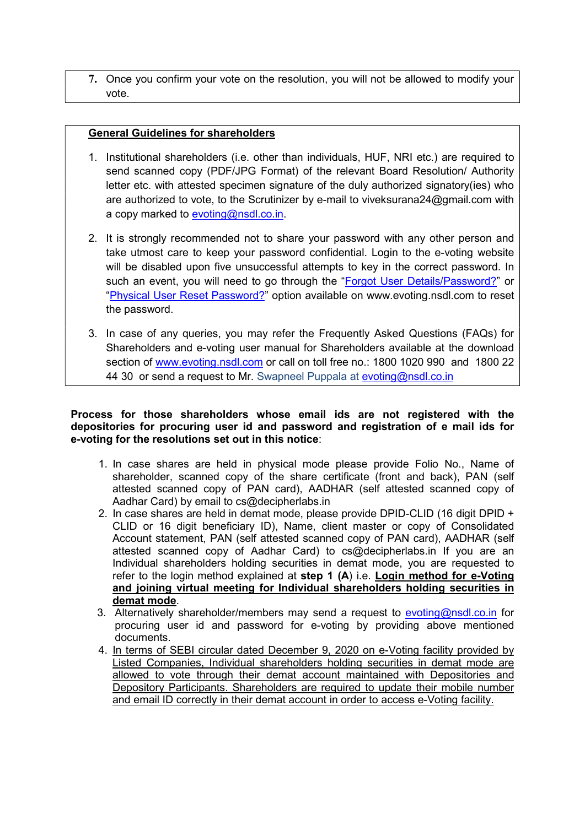7. Once you confirm your vote on the resolution, you will not be allowed to modify your vote.

### General Guidelines for shareholders

- 1. Institutional shareholders (i.e. other than individuals, HUF, NRI etc.) are required to send scanned copy (PDF/JPG Format) of the relevant Board Resolution/ Authority letter etc. with attested specimen signature of the duly authorized signatory(ies) who are authorized to vote, to the Scrutinizer by e-mail to viveksurana24@gmail.com with a copy marked to evoting@nsdl.co.in.
- 2. It is strongly recommended not to share your password with any other person and take utmost care to keep your password confidential. Login to the e-voting website will be disabled upon five unsuccessful attempts to key in the correct password. In such an event, you will need to go through the "Forgot User Details/Password?" or "Physical User Reset Password?" option available on www.evoting.nsdl.com to reset the password.
- 3. In case of any queries, you may refer the Frequently Asked Questions (FAQs) for Shareholders and e-voting user manual for Shareholders available at the download section of www.evoting.nsdl.com or call on toll free no.: 1800 1020 990 and 1800 22 44 30 or send a request to Mr. Swapneel Puppala at evoting@nsdl.co.in

Process for those shareholders whose email ids are not registered with the depositories for procuring user id and password and registration of e mail ids for e-voting for the resolutions set out in this notice:

- 1. In case shares are held in physical mode please provide Folio No., Name of shareholder, scanned copy of the share certificate (front and back), PAN (self attested scanned copy of PAN card), AADHAR (self attested scanned copy of Aadhar Card) by email to cs@decipherlabs.in
- 2. In case shares are held in demat mode, please provide DPID-CLID (16 digit DPID + CLID or 16 digit beneficiary ID), Name, client master or copy of Consolidated Account statement, PAN (self attested scanned copy of PAN card), AADHAR (self attested scanned copy of Aadhar Card) to cs@decipherlabs.in If you are an Individual shareholders holding securities in demat mode, you are requested to refer to the login method explained at step 1  $(A)$  i.e. Login method for e-Voting and joining virtual meeting for Individual shareholders holding securities in demat mode.
- 3. Alternatively shareholder/members may send a request to evoting@nsdl.co.in for procuring user id and password for e-voting by providing above mentioned documents.
- 4. In terms of SEBI circular dated December 9, 2020 on e-Voting facility provided by Listed Companies, Individual shareholders holding securities in demat mode are allowed to vote through their demat account maintained with Depositories and Depository Participants. Shareholders are required to update their mobile number and email ID correctly in their demat account in order to access e-Voting facility.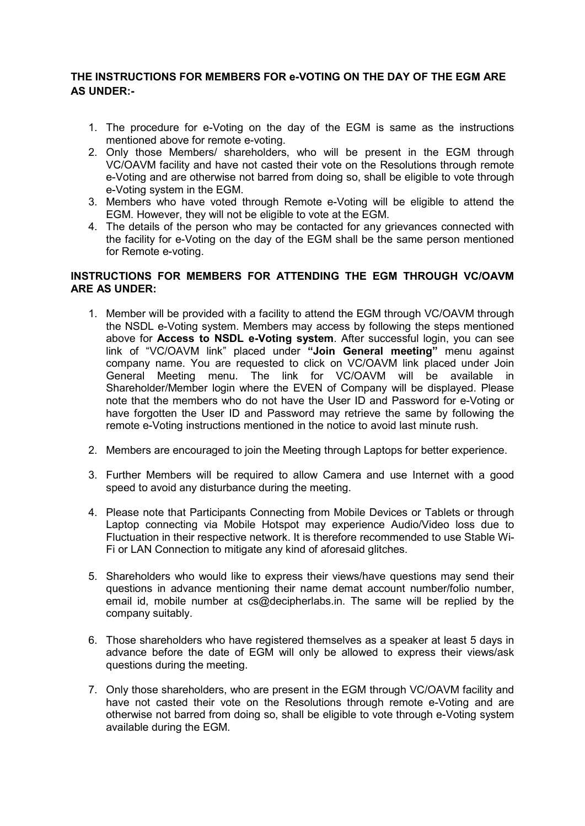## THE INSTRUCTIONS FOR MEMBERS FOR e-VOTING ON THE DAY OF THE EGM ARE AS UNDER:-

- 1. The procedure for e-Voting on the day of the EGM is same as the instructions mentioned above for remote e-voting.
- 2. Only those Members/ shareholders, who will be present in the EGM through VC/OAVM facility and have not casted their vote on the Resolutions through remote e-Voting and are otherwise not barred from doing so, shall be eligible to vote through e-Voting system in the EGM.
- 3. Members who have voted through Remote e-Voting will be eligible to attend the EGM. However, they will not be eligible to vote at the EGM.
- 4. The details of the person who may be contacted for any grievances connected with the facility for e-Voting on the day of the EGM shall be the same person mentioned for Remote e-voting.

### INSTRUCTIONS FOR MEMBERS FOR ATTENDING THE EGM THROUGH VC/OAVM ARE AS UNDER:

- 1. Member will be provided with a facility to attend the EGM through VC/OAVM through the NSDL e-Voting system. Members may access by following the steps mentioned above for Access to NSDL e-Voting system. After successful login, you can see link of "VC/OAVM link" placed under "Join General meeting" menu against company name. You are requested to click on VC/OAVM link placed under Join General Meeting menu. The link for VC/OAVM will be available in Shareholder/Member login where the EVEN of Company will be displayed. Please note that the members who do not have the User ID and Password for e-Voting or have forgotten the User ID and Password may retrieve the same by following the remote e-Voting instructions mentioned in the notice to avoid last minute rush.
- 2. Members are encouraged to join the Meeting through Laptops for better experience.
- 3. Further Members will be required to allow Camera and use Internet with a good speed to avoid any disturbance during the meeting.
- 4. Please note that Participants Connecting from Mobile Devices or Tablets or through Laptop connecting via Mobile Hotspot may experience Audio/Video loss due to Fluctuation in their respective network. It is therefore recommended to use Stable Wi-Fi or LAN Connection to mitigate any kind of aforesaid glitches.
- 5. Shareholders who would like to express their views/have questions may send their questions in advance mentioning their name demat account number/folio number, email id, mobile number at cs@decipherlabs.in. The same will be replied by the company suitably.
- 6. Those shareholders who have registered themselves as a speaker at least 5 days in advance before the date of EGM will only be allowed to express their views/ask questions during the meeting.
- 7. Only those shareholders, who are present in the EGM through VC/OAVM facility and have not casted their vote on the Resolutions through remote e-Voting and are otherwise not barred from doing so, shall be eligible to vote through e-Voting system available during the EGM.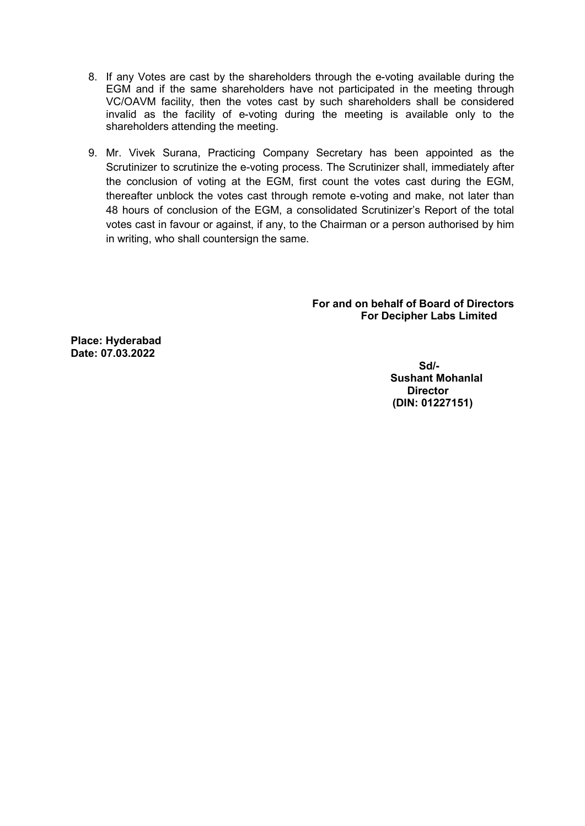- 8. If any Votes are cast by the shareholders through the e-voting available during the EGM and if the same shareholders have not participated in the meeting through VC/OAVM facility, then the votes cast by such shareholders shall be considered invalid as the facility of e-voting during the meeting is available only to the shareholders attending the meeting.
- 9. Mr. Vivek Surana, Practicing Company Secretary has been appointed as the Scrutinizer to scrutinize the e-voting process. The Scrutinizer shall, immediately after the conclusion of voting at the EGM, first count the votes cast during the EGM, thereafter unblock the votes cast through remote e-voting and make, not later than 48 hours of conclusion of the EGM, a consolidated Scrutinizer's Report of the total votes cast in favour or against, if any, to the Chairman or a person authorised by him in writing, who shall countersign the same.

For and on behalf of Board of Directors For Decipher Labs Limited

Place: Hyderabad Date: 07.03.2022

> Sd/- Sushant Mohanlal **Director** (DIN: 01227151)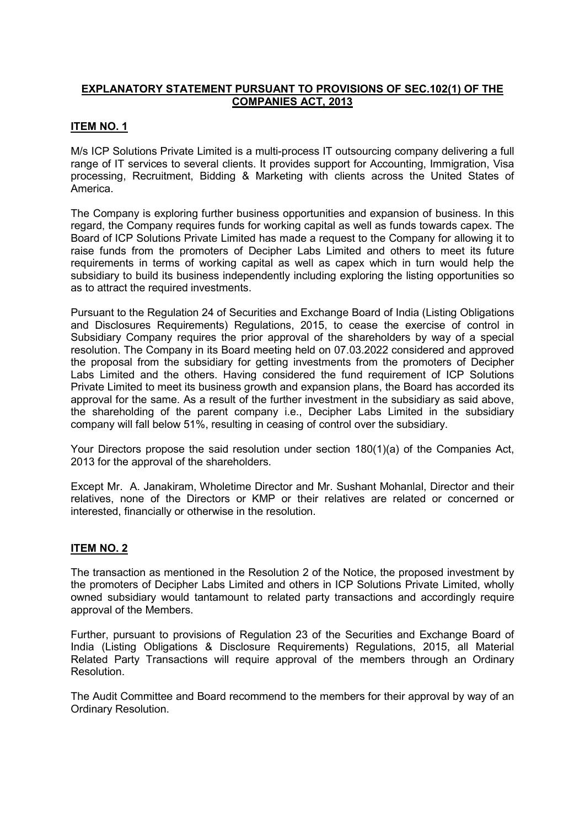## EXPLANATORY STATEMENT PURSUANT TO PROVISIONS OF SEC.102(1) OF THE COMPANIES ACT, 2013

### ITEM NO. 1

M/s ICP Solutions Private Limited is a multi-process IT outsourcing company delivering a full range of IT services to several clients. It provides support for Accounting, Immigration, Visa processing, Recruitment, Bidding & Marketing with clients across the United States of America.

The Company is exploring further business opportunities and expansion of business. In this regard, the Company requires funds for working capital as well as funds towards capex. The Board of ICP Solutions Private Limited has made a request to the Company for allowing it to raise funds from the promoters of Decipher Labs Limited and others to meet its future requirements in terms of working capital as well as capex which in turn would help the subsidiary to build its business independently including exploring the listing opportunities so as to attract the required investments.

Pursuant to the Regulation 24 of Securities and Exchange Board of India (Listing Obligations and Disclosures Requirements) Regulations, 2015, to cease the exercise of control in Subsidiary Company requires the prior approval of the shareholders by way of a special resolution. The Company in its Board meeting held on 07.03.2022 considered and approved the proposal from the subsidiary for getting investments from the promoters of Decipher Labs Limited and the others. Having considered the fund requirement of ICP Solutions Private Limited to meet its business growth and expansion plans, the Board has accorded its approval for the same. As a result of the further investment in the subsidiary as said above, the shareholding of the parent company i.e., Decipher Labs Limited in the subsidiary company will fall below 51%, resulting in ceasing of control over the subsidiary.

Your Directors propose the said resolution under section 180(1)(a) of the Companies Act, 2013 for the approval of the shareholders.

Except Mr. A. Janakiram, Wholetime Director and Mr. Sushant Mohanlal, Director and their relatives, none of the Directors or KMP or their relatives are related or concerned or interested, financially or otherwise in the resolution.

### **ITEM NO. 2**

The transaction as mentioned in the Resolution 2 of the Notice, the proposed investment by the promoters of Decipher Labs Limited and others in ICP Solutions Private Limited, wholly owned subsidiary would tantamount to related party transactions and accordingly require approval of the Members.

Further, pursuant to provisions of Regulation 23 of the Securities and Exchange Board of India (Listing Obligations & Disclosure Requirements) Regulations, 2015, all Material Related Party Transactions will require approval of the members through an Ordinary Resolution.

The Audit Committee and Board recommend to the members for their approval by way of an Ordinary Resolution.